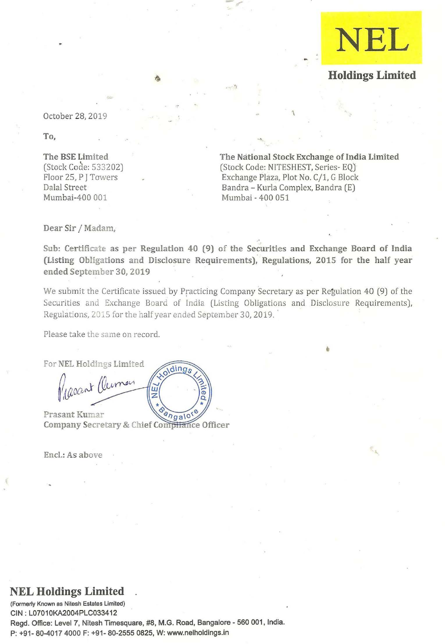

# **Holdings Limited**

October 28, 2019

To,

The BSE Limited (Stock Code: 533202) Floor 25, P J Towers Dalal Street Mumbai-400 001

The National Stock Exchange of India Limited (Stock Code: NITESHEST, Series-EQ) Exchange Plaza, Plot No. *C/1,* G Block Bandra - Kurla Complex, Bandra (E) Mumbai - 400 051

•

Dear Sir / Madam,

Sub: Certificate as per Regulation 40 (9) of the Securities and Exchange Board of India (Listing Obligations and Disclosure Requirements), Regulations, 2015 for the half year ended September 30, 2019

,

We submit the Certificate issued by Practicing Company Secretary as per Regulation 40 (9) of the Securities and Exchange Board of India (Listing Obligations and Disclosure Requirements), Regulations, 2015 for the half year ended September 30, 2019.

Please take the same on record.

For NEL Holdings Limited oldings ascont (Clerman ய බ Prasant Kumar angalo

Company Secretary & Chief Compitance Officer

Enc!.: As above

# **NEL Holdings Limited**

**(Formerly Known as Nitesh Estates limited)**  GIN: L07010KA2004PLG033412 Regd. Office: Level 7, Nitesh Timesquare, #8, M.G. Road, 8angalore - 560 001, India. P: +91- 80-4017 4000 F: +91- 80-2555 0825, W: www.nelholdings.in